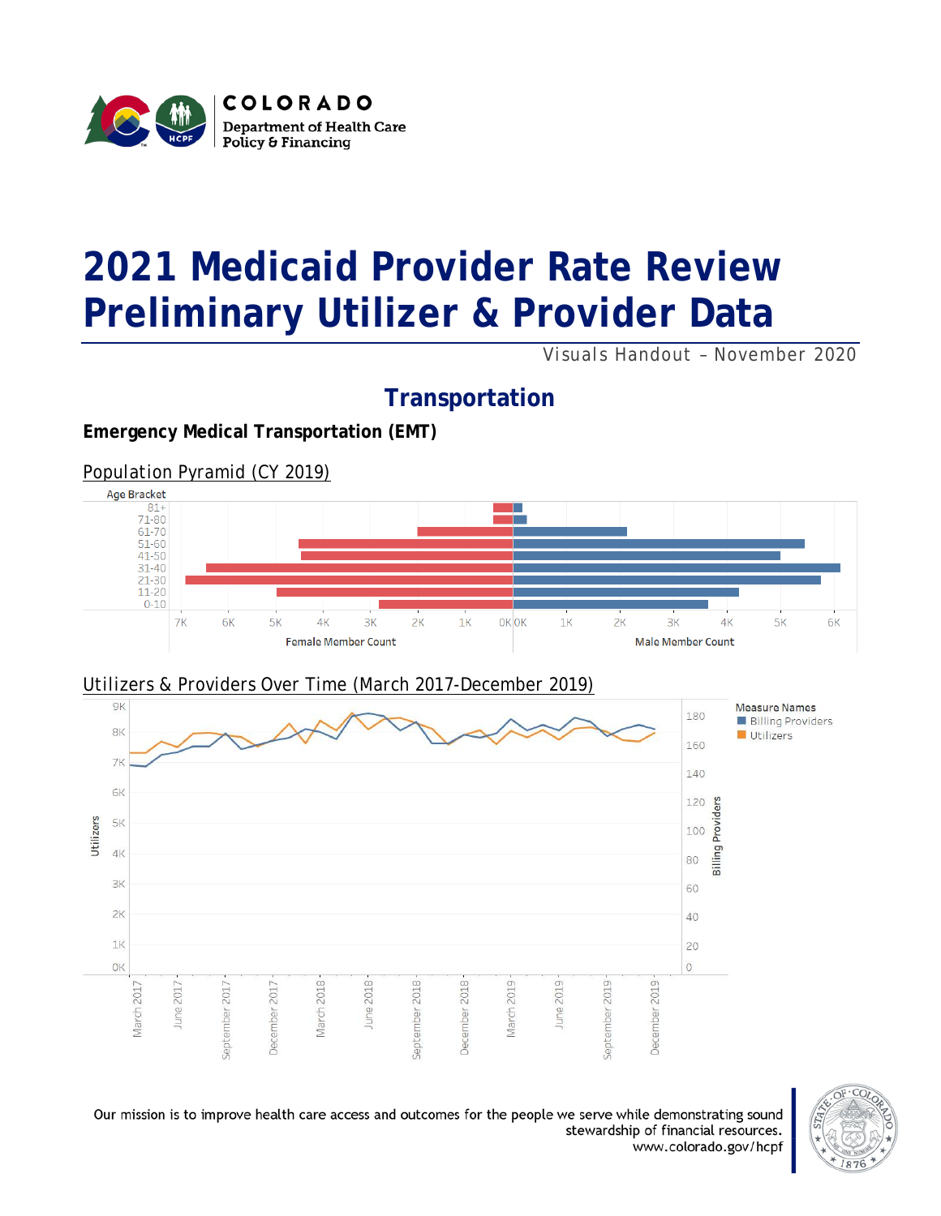

# **2021 Medicaid Provider Rate Review Preliminary Utilizer & Provider Data**

*Visuals Handout – November 2020*

# **Transportation**

#### **Emergency Medical Transportation (EMT)**

*Population Pyramid (CY 2019)*





#### *Utilizers & Providers Over Time (March 2017-December 2019)*

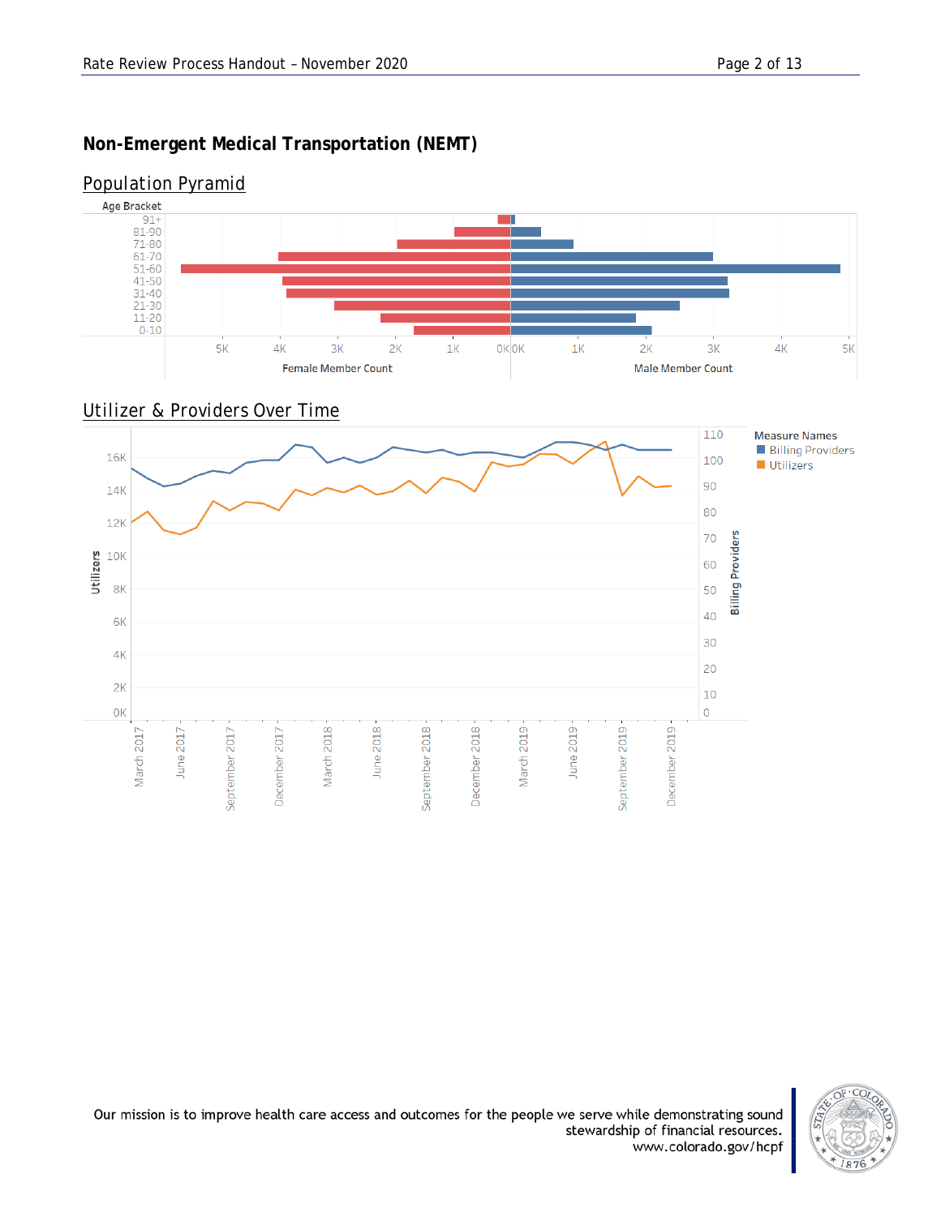## **Non-Emergent Medical Transportation (NEMT)**

#### Age Bracket  $\frac{91+}{81-90}$ т 71-80<br>61-70  $51-60$ <br>41-50  $31-40$ <br>21-30  $11-20$ <br>0-10  $5<sub>K</sub>$  $1<sup>K</sup>$ OK OK  $1<sup>K</sup>$  $4<sup>K</sup>$  $5K$  $4\mathrm{K}$  $3K$  $2K$  $2K$  $3K$ **Female Member Count Male Member Count**

## *Population Pyramid*



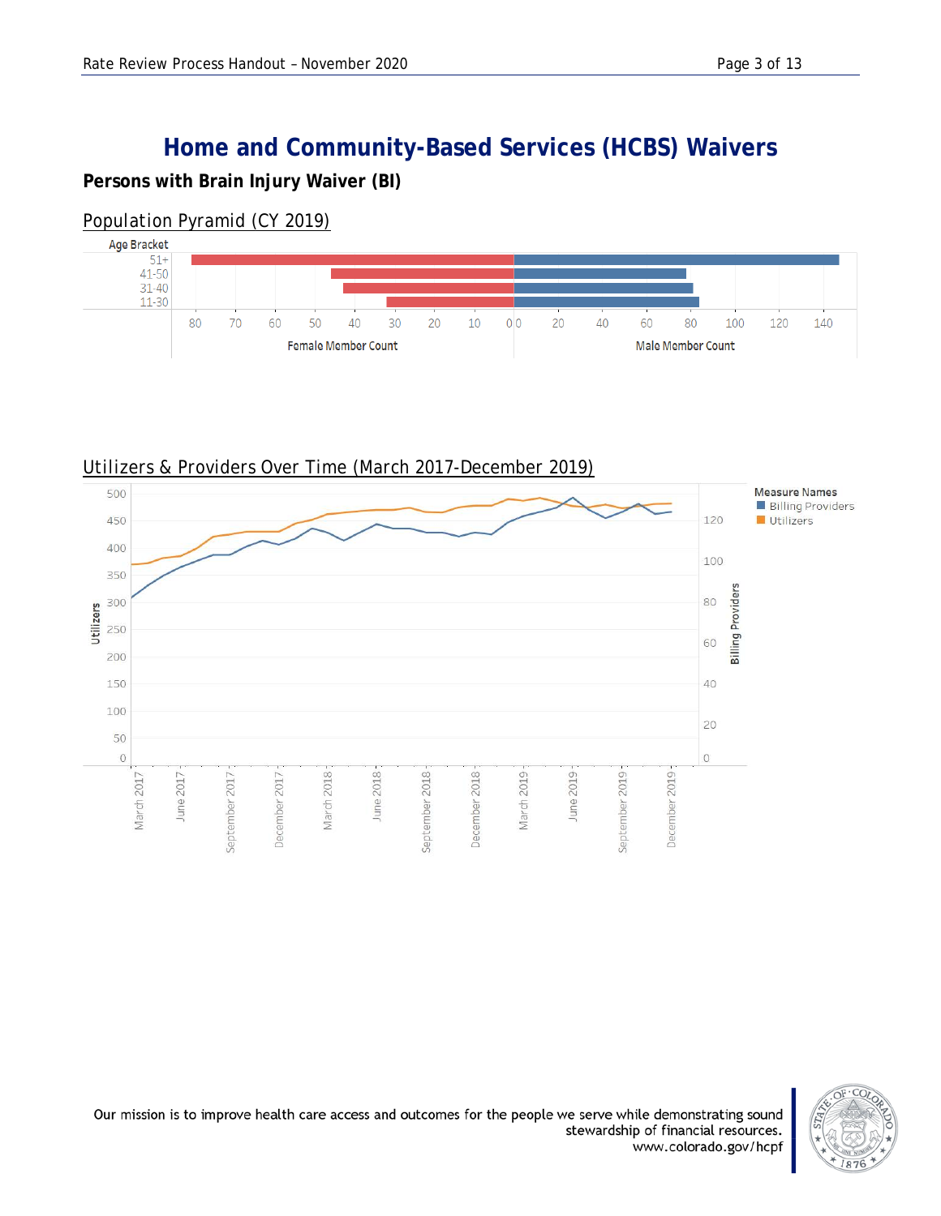# **Home and Community-Based Services (HCBS) Waivers**

#### **Persons with Brain Injury Waiver (BI)**

### *Population Pyramid (CY 2019)*





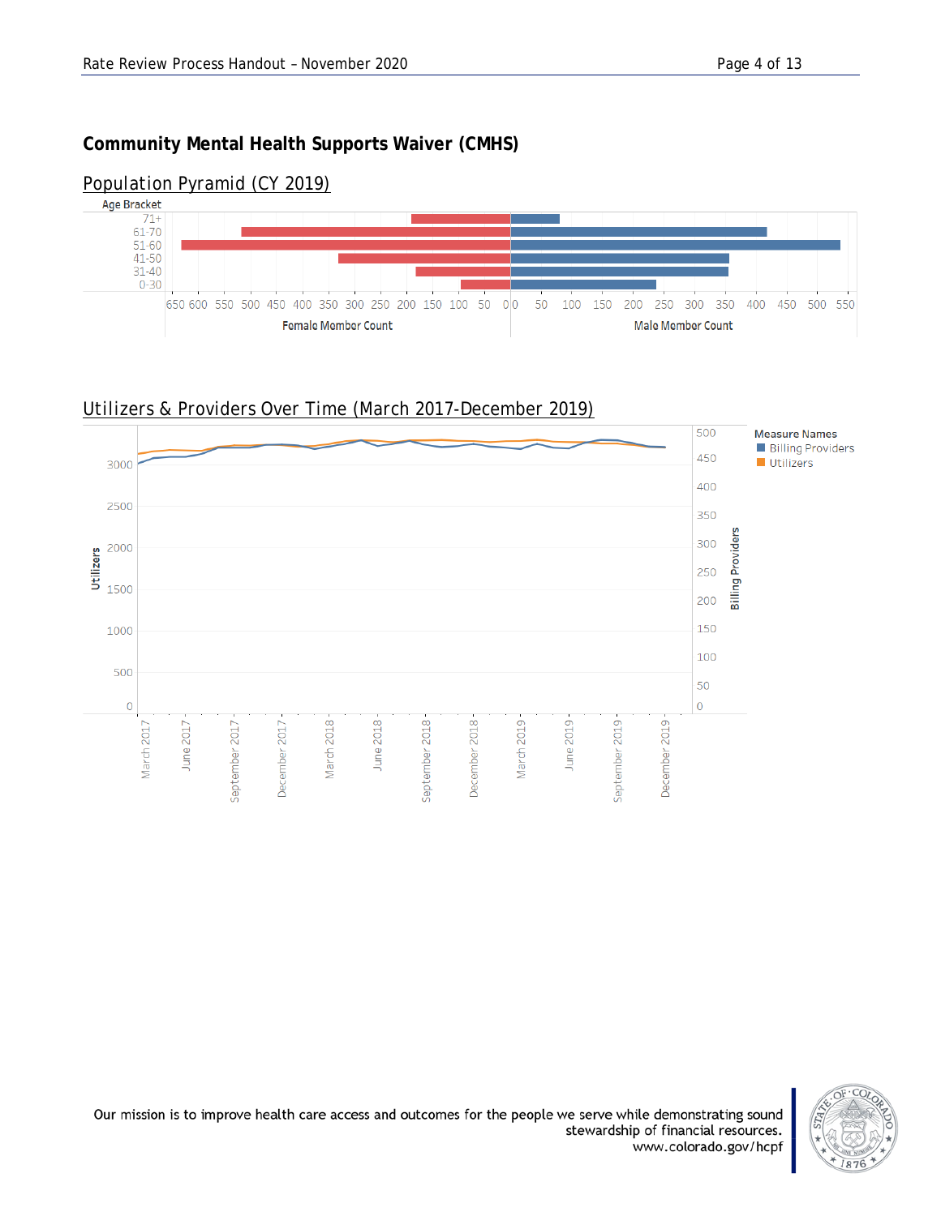#### **Community Mental Health Supports Waiver (CMHS)**



#### *Population Pyramid (CY 2019)*



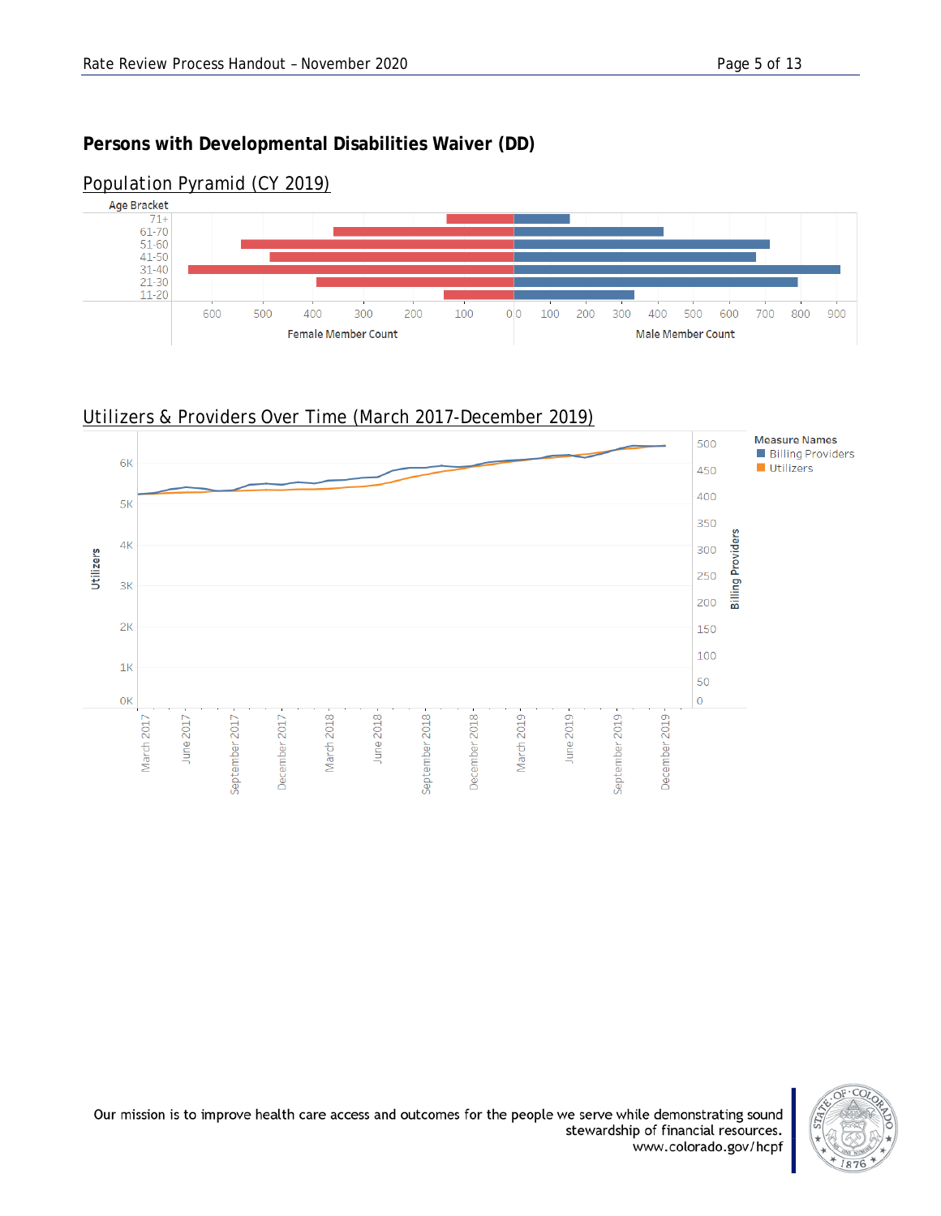*Population Pyramid (CY 2019)*

#### **Persons with Developmental Disabilities Waiver (DD)**





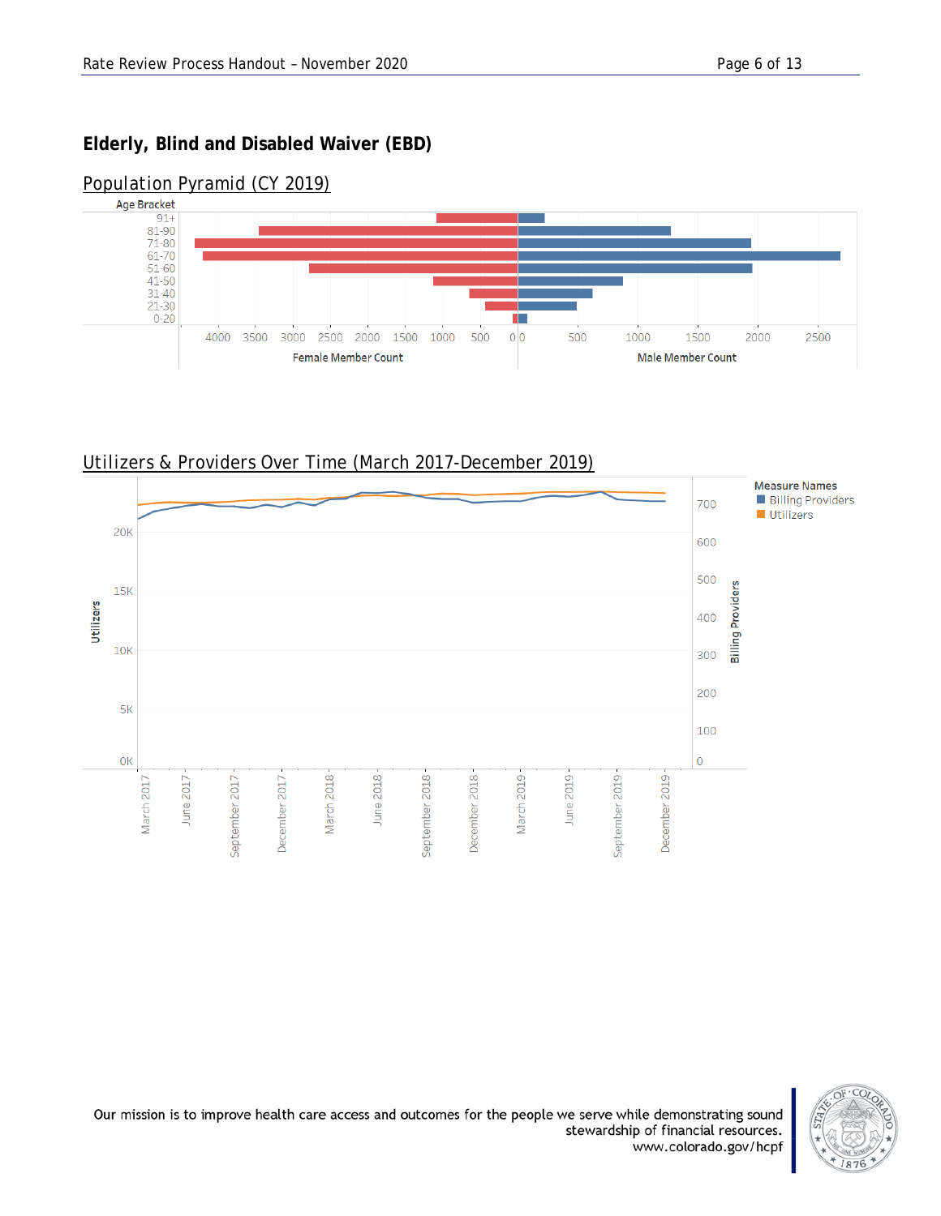## **Elderly, Blind and Disabled Waiver (EBD)**



### *Population Pyramid (CY 2019)*

*Utilizers & Providers Over Time (March 2017-December 2019)*



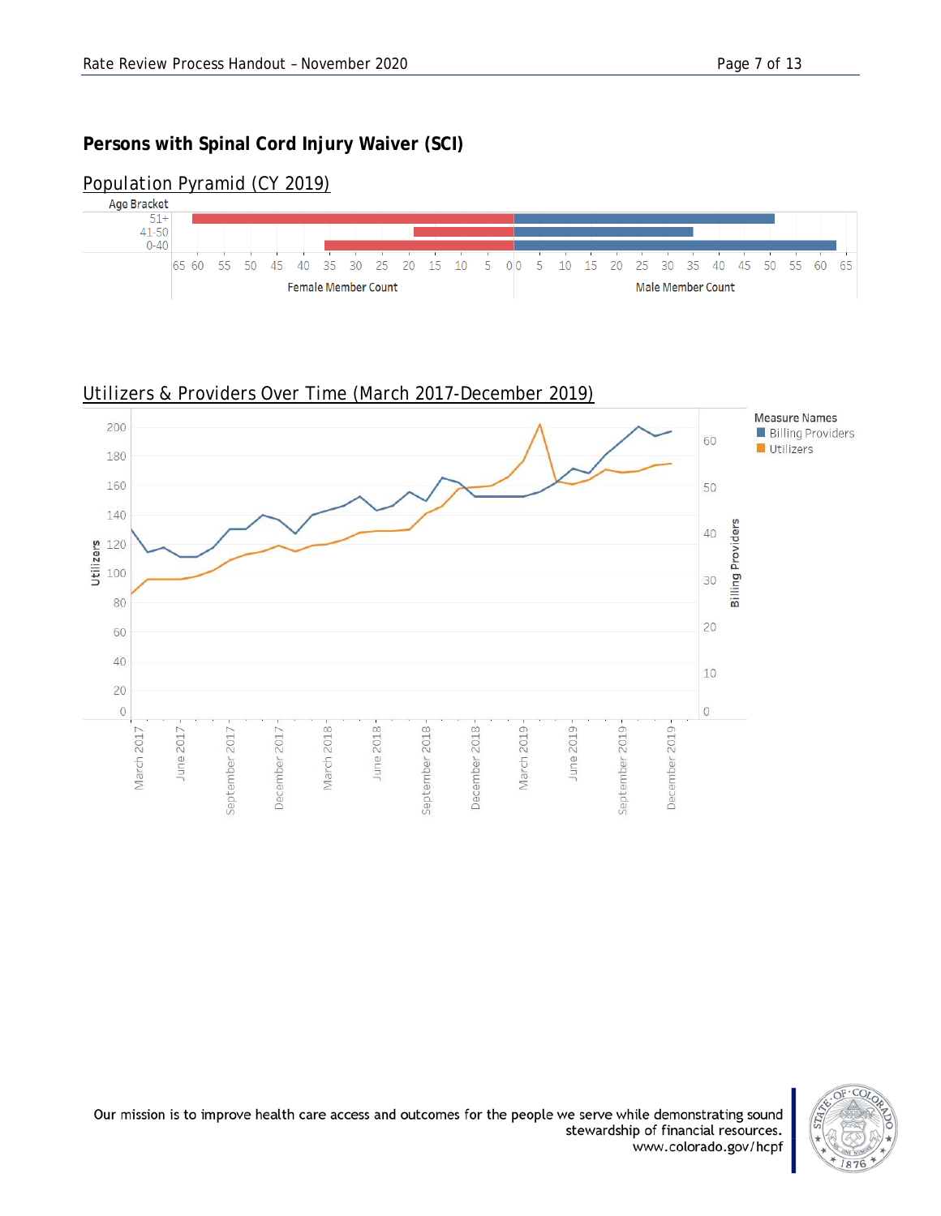#### **Persons with Spinal Cord Injury Waiver (SCI)**



#### *Population Pyramid (CY 2019)*



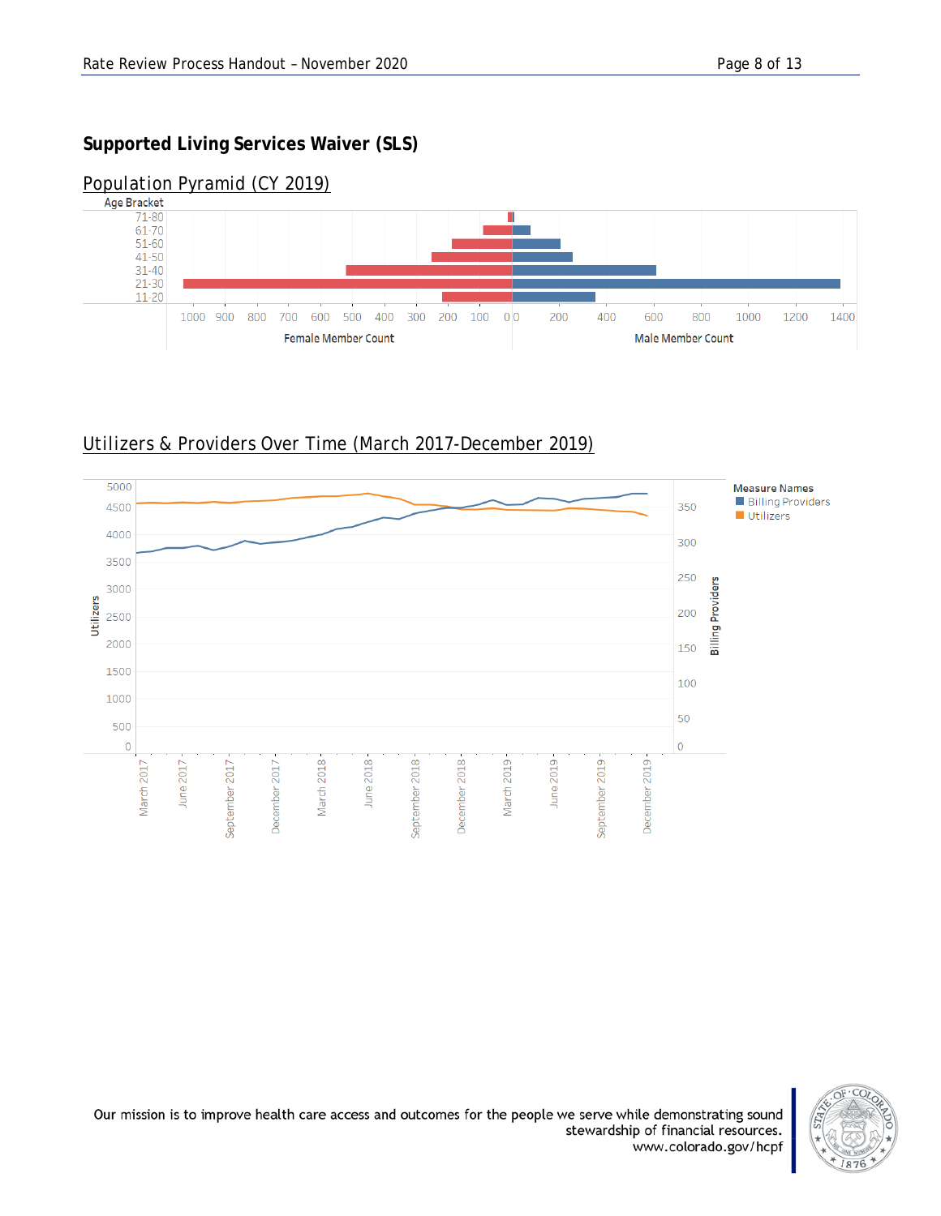# **Supported Living Services Waiver (SLS)**



# *Population Pyramid (CY 2019)*

# *Utilizers & Providers Over Time (March 2017-December 2019)*



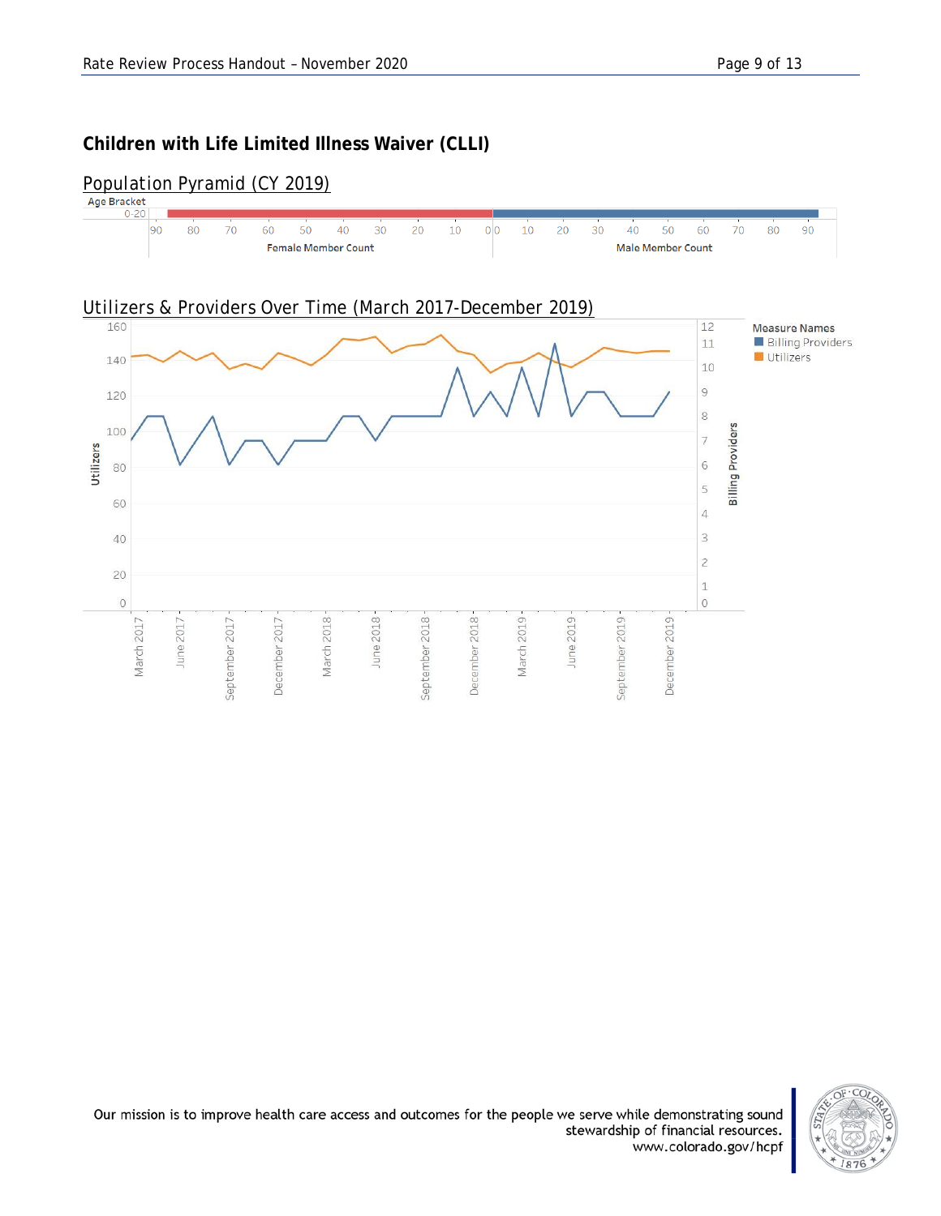#### **Children with Life Limited Illness Waiver (CLLI)**



# *Population Pyramid (CY 2019)*

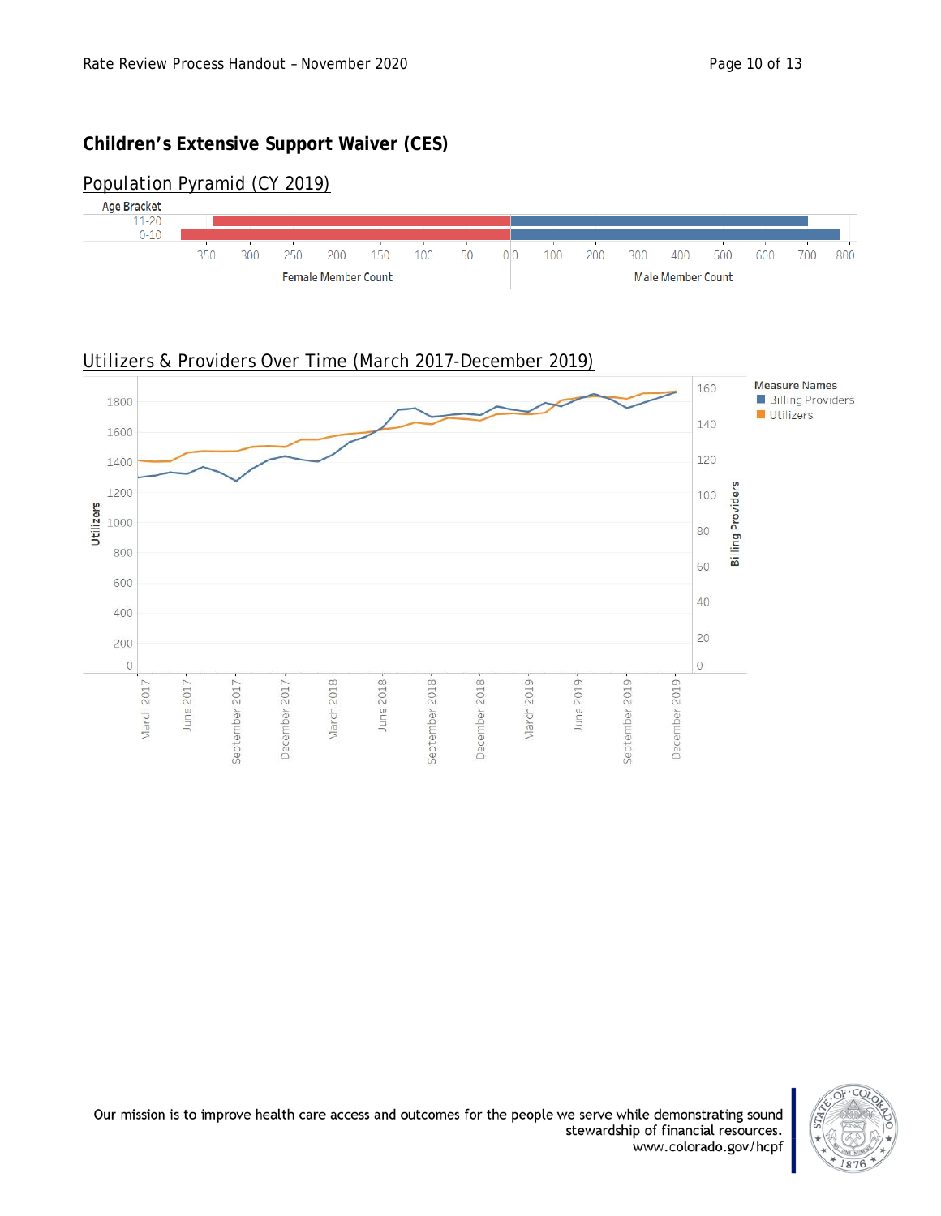#### **Children's Extensive Support Waiver (CES)**



#### *Population Pyramid (CY 2019)*





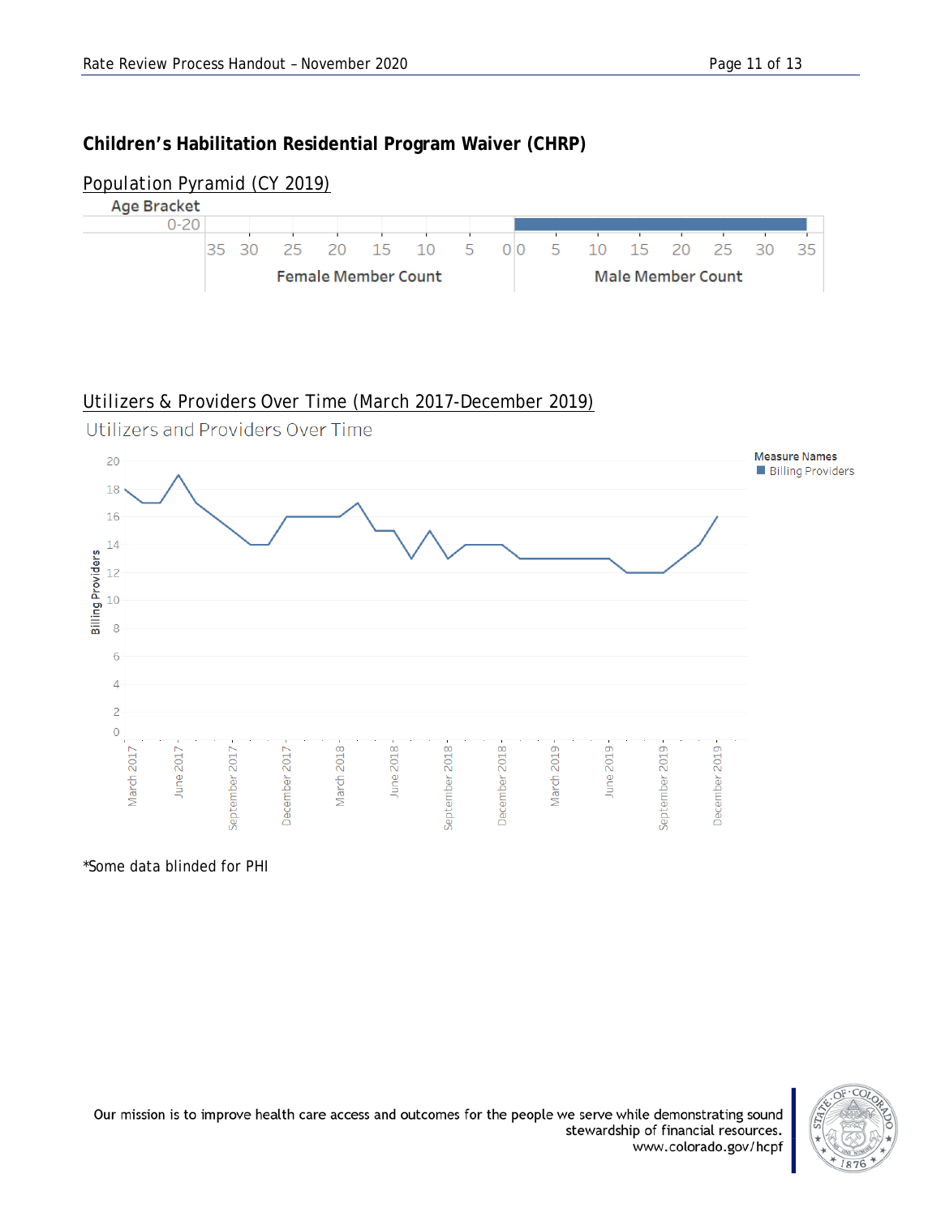#### **Children's Habilitation Residential Program Waiver (CHRP)**



#### *Utilizers & Providers Over Time (March 2017-December 2019)*



\*Some data blinded for PHI

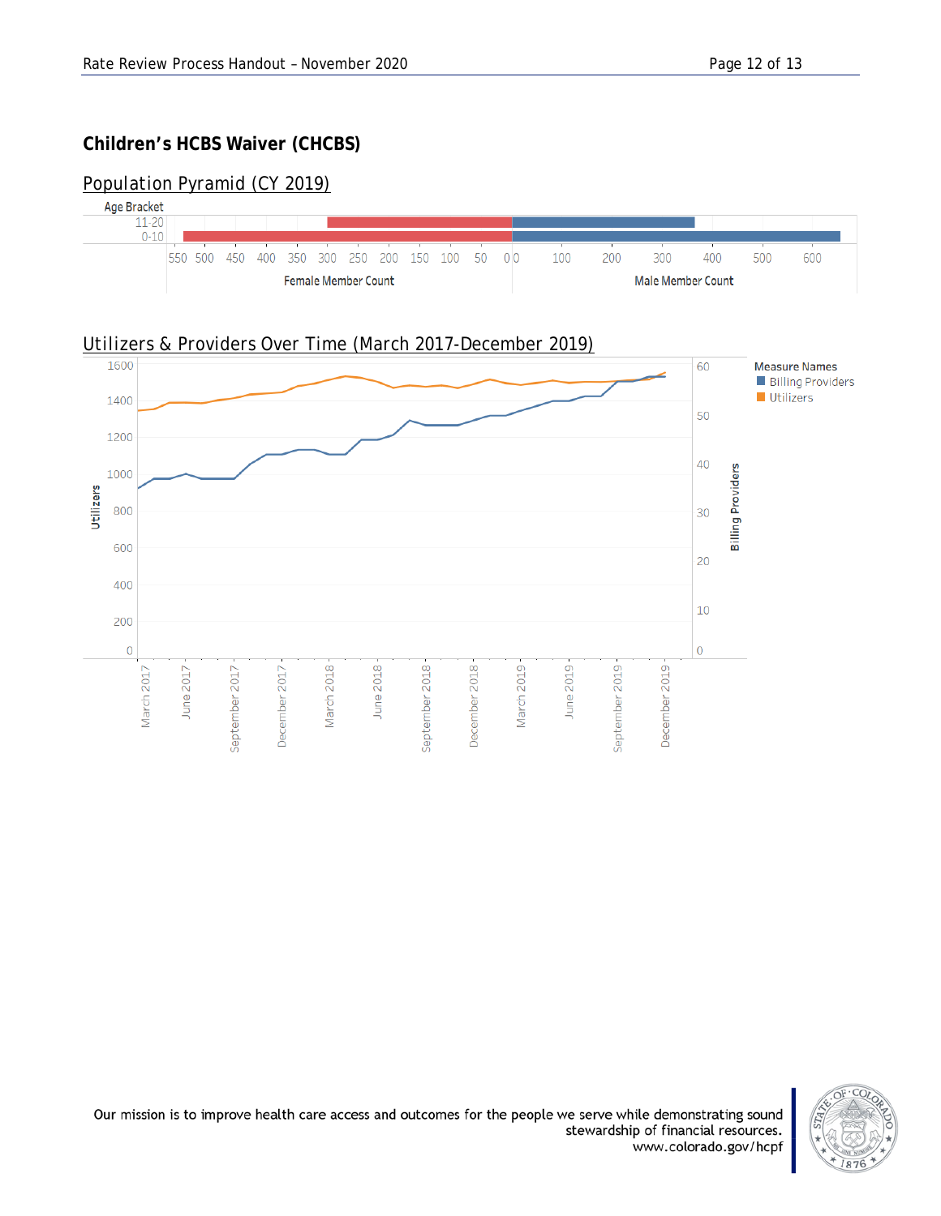#### **Children's HCBS Waiver (CHCBS)**

#### *Population Pyramid (CY 2019)*